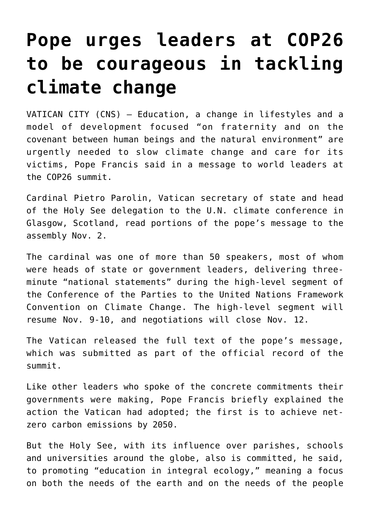## **[Pope urges leaders at COP26](https://www.osvnewsweekly.net/2021/11/02/pope-urges-leaders-at-cop26-to-be-courageous-in-tackling-climate-change/) [to be courageous in tackling](https://www.osvnewsweekly.net/2021/11/02/pope-urges-leaders-at-cop26-to-be-courageous-in-tackling-climate-change/) [climate change](https://www.osvnewsweekly.net/2021/11/02/pope-urges-leaders-at-cop26-to-be-courageous-in-tackling-climate-change/)**

VATICAN CITY (CNS) — Education, a change in lifestyles and a model of development focused "on fraternity and on the covenant between human beings and the natural environment" are urgently needed to slow climate change and care for its victims, Pope Francis said in a message to world leaders at the COP26 summit.

Cardinal Pietro Parolin, Vatican secretary of state and head of the Holy See delegation to the U.N. climate conference in Glasgow, Scotland, read portions of the pope's message to the assembly Nov. 2.

The cardinal was one of more than 50 speakers, most of whom were heads of state or government leaders, delivering threeminute "national statements" during the high-level segment of the Conference of the Parties to the United Nations Framework Convention on Climate Change. The high-level segment will resume Nov. 9-10, and negotiations will close Nov. 12.

The Vatican released the full text of the pope's message, which was submitted as part of the official record of the summit.

Like other leaders who spoke of the concrete commitments their governments were making, Pope Francis briefly explained the action the Vatican had adopted; the first is to achieve netzero carbon emissions by 2050.

But the Holy See, with its influence over parishes, schools and universities around the globe, also is committed, he said, to promoting "education in integral ecology," meaning a focus on both the needs of the earth and on the needs of the people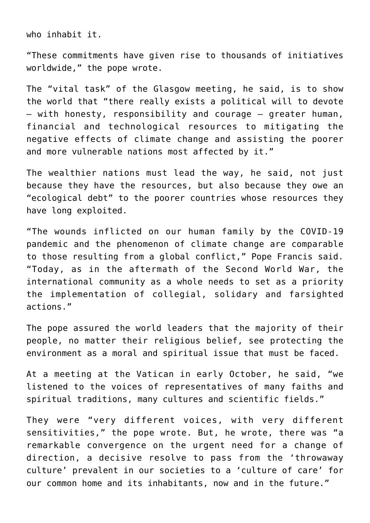who inhabit it.

"These commitments have given rise to thousands of initiatives worldwide," the pope wrote.

The "vital task" of the Glasgow meeting, he said, is to show the world that "there really exists a political will to devote — with honesty, responsibility and courage — greater human, financial and technological resources to mitigating the negative effects of climate change and assisting the poorer and more vulnerable nations most affected by it."

The wealthier nations must lead the way, he said, not just because they have the resources, but also because they owe an "ecological debt" to the poorer countries whose resources they have long exploited.

"The wounds inflicted on our human family by the COVID-19 pandemic and the phenomenon of climate change are comparable to those resulting from a global conflict," Pope Francis said. "Today, as in the aftermath of the Second World War, the international community as a whole needs to set as a priority the implementation of collegial, solidary and farsighted actions."

The pope assured the world leaders that the majority of their people, no matter their religious belief, see protecting the environment as a moral and spiritual issue that must be faced.

At a meeting at the Vatican in early October, he said, "we listened to the voices of representatives of many faiths and spiritual traditions, many cultures and scientific fields."

They were "very different voices, with very different sensitivities," the pope wrote. But, he wrote, there was "a remarkable convergence on the urgent need for a change of direction, a decisive resolve to pass from the 'throwaway culture' prevalent in our societies to a 'culture of care' for our common home and its inhabitants, now and in the future."